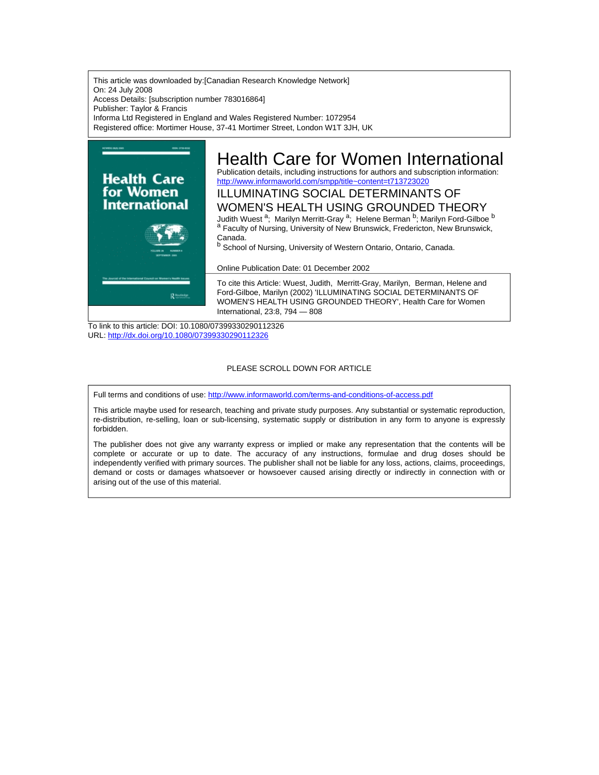This article was downloaded by:[Canadian Research Knowledge Network] On: 24 July 2008 Access Details: [subscription number 783016864] Publisher: Taylor & Francis Informa Ltd Registered in England and Wales Registered Number: 1072954 Registered office: Mortimer House, 37-41 Mortimer Street, London W1T 3JH, UK



URL: <http://dx.doi.org/10.1080/07399330290112326>

### PLEASE SCROLL DOWN FOR ARTICLE

Full terms and conditions of use: <http://www.informaworld.com/terms-and-conditions-of-access.pdf>

This article maybe used for research, teaching and private study purposes. Any substantial or systematic reproduction, re-distribution, re-selling, loan or sub-licensing, systematic supply or distribution in any form to anyone is expressly forbidden.

The publisher does not give any warranty express or implied or make any representation that the contents will be complete or accurate or up to date. The accuracy of any instructions, formulae and drug doses should be independently verified with primary sources. The publisher shall not be liable for any loss, actions, claims, proceedings, demand or costs or damages whatsoever or howsoever caused arising directly or indirectly in connection with or arising out of the use of this material.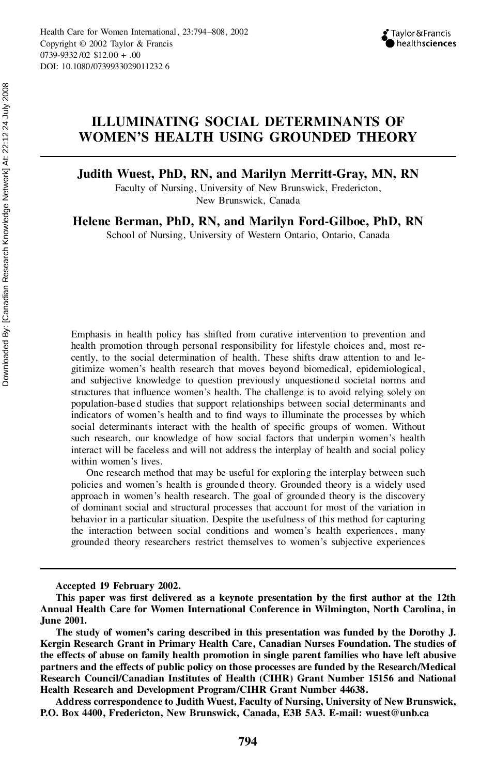# **ILLUMINATING SOCIAL DETERMINANTS OF WOMEN'S HEALTH USING GROUNDED THEORY**

**Judith Wuest, PhD, RN, and Marilyn Merritt-Gray, MN, RN**

Faculty of Nursing, University of New Brunswick, Fredericton, New Brunswick, Canada

**Helene Berman, PhD, RN, and Marilyn Ford-Gilboe, PhD, RN**

School of Nursing, University of Western Ontario, Ontario, Canada

Emphasis in health policy has shifted from curative intervention to prevention and health promotion through personal responsibility for lifestyle choices and, most re cently, to the social determination of health. These shifts draw attention to and le gitimize women's health research that moves beyond biomedical, epidemiological, and subjective knowledge to question previously unquestioned societal norms and structures that influence women's health. The challenge is to avoid relying solely on population-base d studies that support relationships between social determinants and indicators of women's health and to find ways to illuminate the processes by which social determinants interact with the health of specific groups of women. Without such research, our knowledge of how social factors that underpin women's health interact will be faceless and will not address the interplay of health and social policy within women's lives.

One research method that may be useful for exploring the interplay between such policies and women's health is grounded theory. Grounded theory is a widely used approach in women's health research. The goal of grounded theory is the discovery of dominant social and structural processes that account for most of the variation in behavior in a particular situation. Despite the usefulness of this method for capturing the interaction between social conditions and women's health experiences, many grounded theory researchers restrict themselves to women's subjective experiences

**Accepted 19 February 2002.**

**This paper was rst delivered as a keynote presentation by the rst author at the 12th Annual Health Care for Women International Conference in Wilmington, North Carolina, in June 2001.**

**The study of women's caring described in this presentation was funded by the Dorothy J. Kergin Research Grant in Primary Health Care, Canadian Nurses Foundation. The studies of the effects of abuse on family health promotion in single parent families who have left abusive partners and the effects of public policy on those processes are funded by the Research/Medical Research Council/Canadian Institutes of Health (CIHR) Grant Number 15156 and National Health Research and Development Program/CIHR Grant Number 44638.**

**Address correspondence to Judith Wuest, Faculty of Nursing, University of New Brunswick, P.O. Box 4400, Fredericton, New Brunswick, Canada, E3B 5A3. E-mail: wuest@unb.ca**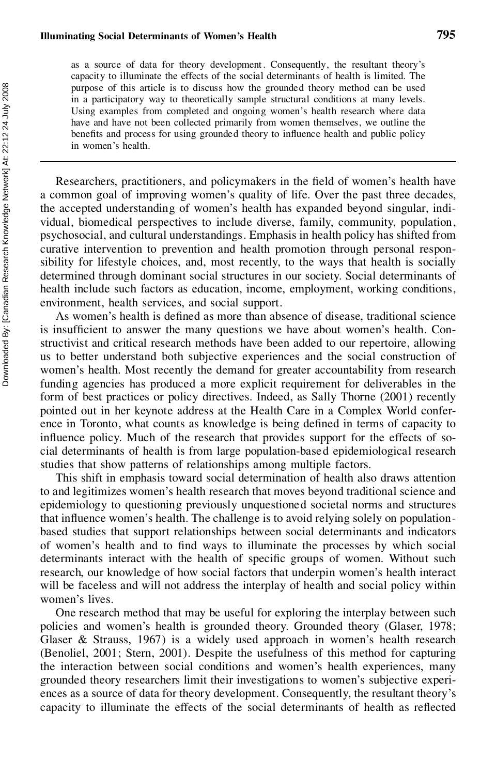as a source of data for theory development . Consequently, the resultant theory's capacity to illuminate the effects of the social determinants of health is limited. The purpose of this article is to discuss how the grounded theory method can be used in a participatory way to theoretically sample structural conditions at many levels. Using examples from completed and ongoing women's health research where data have and have not been collected primarily from women themselves, we outline the benefits and process for using grounded theory to influence health and public policy in women's health.

Researchers, practitioners, and policymakers in the field of women's health have a common goal of improving women's quality of life. Over the past three decades, the accepted understanding of women's health has expanded beyond singular, indi vidual, biomedical perspectives to include diverse, family, community, population, psychosocial, and cultural understandings. Emphasis in health policy has shifted from curative intervention to prevention and health promotion through personal respon sibility for lifestyle choices, and, most recently, to the ways that health is socially determined through dominant social structures in our society. Social determinants of health include such factors as education, income, employment, working conditions, environment, health services, and social support.

As women's health is defined as more than absence of disease, traditional science is insufficient to answer the many questions we have about women's health. Constructivist and critical research methods have been added to our repertoire, allowing us to better understand both subjective experiences and the social construction of women's health. Most recently the demand for greater accountability from research funding agencies has produced a more explicit requirement for deliverables in the form of best practices or policy directives. Indeed, as Sally Thorne (2001) recently pointed out in her keynote address at the Health Care in a Complex World confer ence in Toronto, what counts as knowledge is being defined in terms of capacity to in fluence policy. Much of the research that provides support for the effects of social determinants of health is from large population-based epidemiological research studies that show patterns of relationships among multiple factors.

This shift in emphasis toward social determination of health also draws attention to and legitimizes women's health research that moves beyond traditional science and epidemiology to questioning previously unquestioned societal norms and structures that influence women's health. The challenge is to avoid relying solely on populationbased studies that support relationships between social determinants and indicators of women's health and to find ways to illuminate the processes by which social determinants interact with the health of specific groups of women. Without such research, our knowledge of how social factors that underpin women's health interact will be faceless and will not address the interplay of health and social policy within women's lives.

One research method that may be useful for exploring the interplay between such policies and women's health is grounded theory. Grounded theory (Glaser, 1978; Glaser & Strauss, 1967) is a widely used approach in women's health research (Benoliel, 2001; Stern, 2001). Despite the usefulness of this method for capturing the interaction between social conditions and women's health experiences, many grounded theory researchers limit their investigations to women's subjective experi ences as a source of data for theory development. Consequently, the resultant theory's capacity to illuminate the effects of the social determinants of health as reflected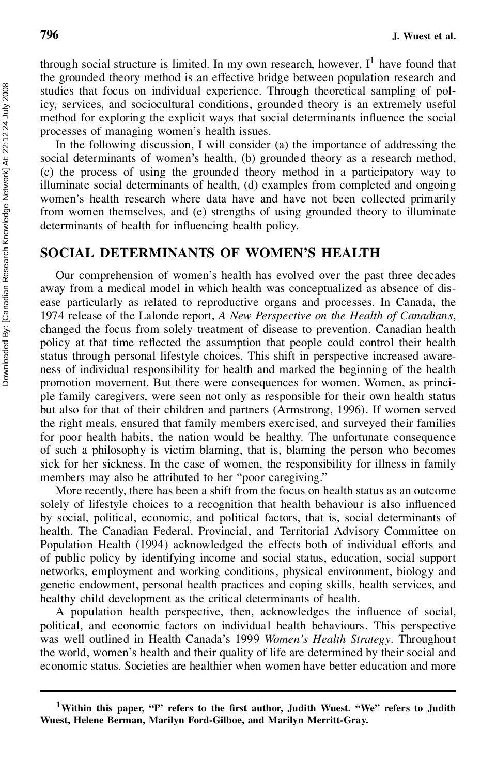through social structure is limited. In my own research, however,  $I<sup>1</sup>$  have found that the grounded theory method is an effective bridge between population research and studies that focus on individual experience. Through theoretical sampling of policy, services, and sociocultural conditions, grounded theory is an extremely useful method for exploring the explicit ways that social determinants influence the social processes of managing women's health issues.

In the following discussion, I will consider (a) the importance of addressing the social determinants of women's health, (b) grounded theory as a research method, (c) the process of using the grounded theory method in a participatory way to illuminate social determinants of health, (d) examples from completed and ongoing women's health research where data have and have not been collected primarily from women themselves, and (e) strengths of using grounded theory to illuminate determinants of health for influencing health policy.

### **SOCIAL DETERMINANTS OF WOMEN'S HEALTH**

Our comprehension of women's health has evolved over the past three decades away from a medical model in which health was conceptualized as absence of dis ease particularly as related to reproductive organs and processes. In Canada, the 1974 release of the Lalonde report, *A New Perspective on the Health of Canadians*, changed the focus from solely treatment of disease to prevention. Canadian health policy at that time reflected the assumption that people could control their health status through personal lifestyle choices. This shift in perspective increased aware ness of individual responsibility for health and marked the beginning of the health promotion movement. But there were consequences for women. Women, as princi ple family caregivers, were seen not only as responsible for their own health status but also for that of their children and partners (Armstrong, 1996). If women served the right meals, ensured that family members exercised, and surveyed their families for poor health habits, the nation would be healthy. The unfortunate consequence of such a philosophy is victim blaming, that is, blaming the person who becomes sick for her sickness. In the case of women, the responsibility for illness in family members may also be attributed to her "poor caregiving."

More recently, there has been a shift from the focus on health status as an outcome solely of lifestyle choices to a recognition that health behaviour is also influenced by social, political, economic, and political factors, that is, social determinants of health. The Canadian Federal, Provincial, and Territorial Advisory Committee on Population Health (1994) acknowledged the effects both of individual efforts and of public policy by identifying income and social status, education, social support networks, employment and working conditions, physical environment, biology and genetic endowment, personal health practices and coping skills, health services, and healthy child development as the critical determinants of health.

A population health perspective, then, acknowledges the influence of social, political, and economic factors on individual health behaviours. This perspective was well outlined in Health Canada's 1999 *Women's Health Strategy*. Throughout the world, women's health and their quality of life are determined by their social and economic status. Societies are healthier when women have better education and more

**<sup>1</sup>Within this paper, "I" refers to the rst author, Judith Wuest. "We" refers to Judith Wuest, Helene Berman, Marilyn Ford-Gilboe, and Marilyn Merritt-Gray.**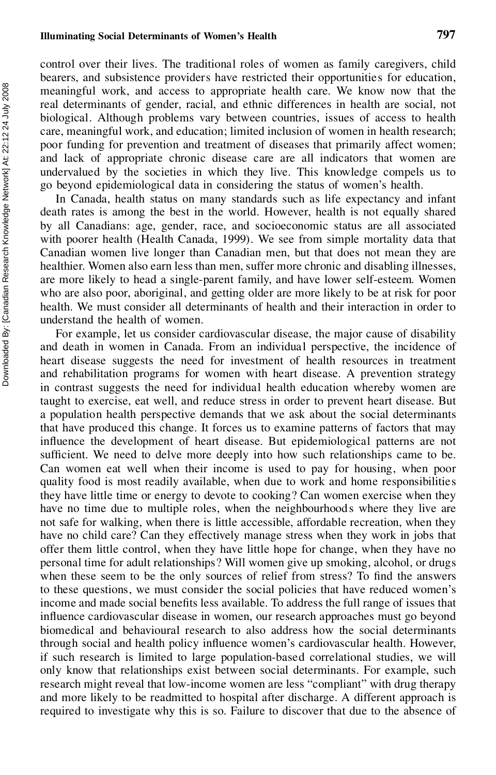### **Illuminating Social Determinants of Women's Health 797**

control over their lives. The traditional roles of women as family caregivers, child bearers, and subsistence providers have restricted their opportunities for education, meaningful work, and access to appropriate health care. We know now that the real determinants of gender, racial, and ethnic differences in health are social, not biological. Although problems vary between countries, issues of access to health care, meaningful work, and education; limited inclusion of women in health research; poor funding for prevention and treatment of diseases that primarily affect women; and lack of appropriate chronic disease care are all indicators that women are undervalued by the societies in which they live. This knowledge compels us to go beyond epidemiological data in considering the status of women's health.

In Canada, health status on many standards such as life expectancy and infant death rates is among the best in the world. However, health is not equally shared by all Canadians: age, gender, race, and socioeconomic status are all associated with poorer health (Health Canada, 1999). We see from simple mortality data that Canadian women live longer than Canadian men, but that does not mean they are healthier. Women also earn less than men, suffer more chronic and disabling illnesses, are more likely to head a single-parent family, and have lower self-esteem. Women who are also poor, aboriginal, and getting older are more likely to be at risk for poor health. We must consider all determinants of health and their interaction in order to understand the health of women.

For example, let us consider cardiovascular disease, the major cause of disability and death in women in Canada. From an individual perspective, the incidence of heart disease suggests the need for investment of health resources in treatment and rehabilitation programs for women with heart disease. A prevention strategy in contrast suggests the need for individual health education whereby women are taught to exercise, eat well, and reduce stress in order to prevent heart disease. But a population health perspective demands that we ask about the social determinants that have produced this change. It forces us to examine patterns of factors that may influence the development of heart disease. But epidemiological patterns are not sufficient. We need to delve more deeply into how such relationships came to be. Can women eat well when their income is used to pay for housing, when poor quality food is most readily available, when due to work and home responsibilities they have little time or energy to devote to cooking? Can women exercise when they have no time due to multiple roles, when the neighbourhoods where they live are not safe for walking, when there is little accessible, affordable recreation, when they have no child care? Can they effectively manage stress when they work in jobs that offer them little control, when they have little hope for change, when they have no personal time for adult relationships? Will women give up smoking, alcohol, or drugs when these seem to be the only sources of relief from stress? To find the answers to these questions, we must consider the social policies that have reduced women's income and made social benefits less available. To address the full range of issues that influence cardiovascular disease in women, our research approaches must go beyond biomedical and behavioural research to also address how the social determinants through social and health policy influence women's cardiovascular health. However, if such research is limited to large population-based correlational studies, we will only know that relationships exist between social determinants. For example, such research might reveal that low-income women are less "compliant" with drug therapy and more likely to be readmitted to hospital after discharge. A different approach is required to investigate why this is so. Failure to discover that due to the absence of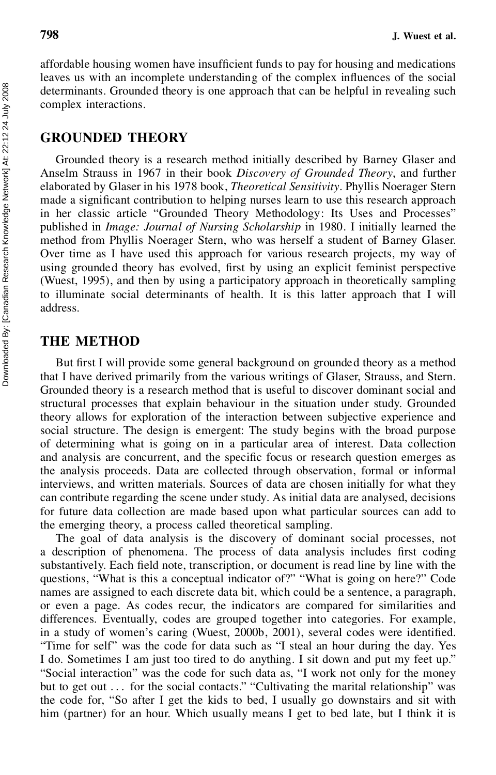affordable housing women have insufficient funds to pay for housing and medications leaves us with an incomplete understanding of the complex influences of the social determinants. Grounded theory is one approach that can be helpful in revealing such complex interactions.

### **GROUNDED THEORY**

Grounded theory is a research method initially described by Barney Glaser and Anselm Strauss in 1967 in their book *Discovery of Grounded Theory*, and further elaborated by Glaser in his 1978 book, *Theoretical Sensitivity*. Phyllis Noerager Stern made a significant contribution to helping nurses learn to use this research approach in her classic article "Grounded Theory Methodology: Its Uses and Processes" published in *Image: Journal of Nursing Scholarship* in 1980. I initially learned the method from Phyllis Noerager Stern, who was herself a student of Barney Glaser. Over time as I have used this approach for various research projects, my way of using grounded theory has evolved, first by using an explicit feminist perspective (Wuest, 1995), and then by using a participatory approach in theoretically sampling to illuminate social determinants of health. It is this latter approach that I will address.

### **THE METHOD**

But first I will provide some general background on grounded theory as a method that I have derived primarily from the various writings of Glaser, Strauss, and Stern. Grounded theory is a research method that is useful to discover dominant social and structural processes that explain behaviour in the situation under study. Grounded theory allows for exploration of the interaction between subjective experience and social structure. The design is emergent: The study begins with the broad purpose of determining what is going on in a particular area of interest. Data collection and analysis are concurrent, and the specific focus or research question emerges as the analysis proceeds. Data are collected through observation, formal or informal interviews, and written materials. Sources of data are chosen initially for what they can contribute regarding the scene under study. As initial data are analysed, decisions for future data collection are made based upon what particular sources can add to the emerging theory, a process called theoretical sampling.

The goal of data analysis is the discovery of dominant social processes, not a description of phenomena. The process of data analysis includes first coding substantively. Each field note, transcription, or document is read line by line with the questions, "What is this a conceptual indicator of?" "What is going on here?" Code names are assigned to each discrete data bit, which could be a sentence, a paragraph, or even a page. As codes recur, the indicators are compared for similarities and differences. Eventually, codes are grouped together into categories. For example, in a study of women's caring (Wuest, 2000b, 2001), several codes were identified. "Time for self" was the code for data such as "I steal an hour during the day. Yes I do. Sometimes I am just too tired to do anything. I sit down and put my feet up." "Social interaction" was the code for such data as, "I work not only for the money but to get out ... for the social contacts." "Cultivating the marital relationship" was the code for, "So after I get the kids to bed, I usually go downstairs and sit with him (partner) for an hour. Which usually means I get to bed late, but I think it is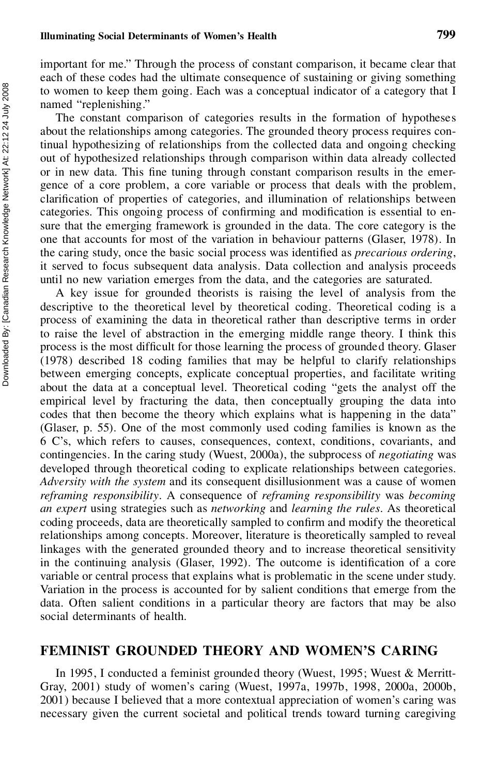important for me." Through the process of constant comparison, it became clear that each of these codes had the ultimate consequence of sustaining or giving something to women to keep them going. Each was a conceptual indicator of a category that I named "replenishing."

The constant comparison of categories results in the formation of hypotheses about the relationships among categories. The grounded theory process requires continual hypothesizing of relationships from the collected data and ongoing checking out of hypothesized relationships through comparison within data already collected or in new data. This fine tuning through constant comparison results in the emergence of a core problem, a core variable or process that deals with the problem, clarification of properties of categories, and illumination of relationships between categories. This ongoing process of confirming and modification is essential to ensure that the emerging framework is grounded in the data. The core category is the one that accounts for most of the variation in behaviour patterns (Glaser, 1978). In the caring study, once the basic social process was identified as *precarious ordering*, it served to focus subsequent data analysis. Data collection and analysis proceeds until no new variation emerges from the data, and the categories are saturated.

A key issue for grounded theorists is raising the level of analysis from the descriptive to the theoretical level by theoretical coding. Theoretical coding is a process of examining the data in theoretical rather than descriptive terms in order to raise the level of abstraction in the emerging middle range theory. I think this process is the most difficult for those learning the process of grounded theory. Glaser (1978) described 18 coding families that may be helpful to clarify relationships between emerging concepts, explicate conceptual properties, and facilitate writing about the data at a conceptual level. Theoretical coding "gets the analyst off the empirical level by fracturing the data, then conceptually grouping the data into codes that then become the theory which explains what is happening in the data" (Glaser, p. 55). One of the most commonly used coding families is known as the 6 C's, which refers to causes, consequences, context, conditions, covariants, and contingencies. In the caring study (Wuest, 2000a), the subprocess of *negotiating* was developed through theoretical coding to explicate relationships between categories. *Adversity with the system* and its consequent disillusionment was a cause of women *reframing responsibility*. A consequence of *reframing responsibility* was *becoming an expert* using strategies such as *networking* and *learning the rules*. As theoretical coding proceeds, data are theoretically sampled to confirm and modify the theoretical relationships among concepts. Moreover, literature is theoretically sampled to reveal linkages with the generated grounded theory and to increase theoretical sensitivity in the continuing analysis (Glaser, 1992). The outcome is identification of a core variable or central process that explains what is problematic in the scene under study. Variation in the process is accounted for by salient conditions that emerge from the data. Often salient conditions in a particular theory are factors that may be also social determinants of health.

### **FEMINIST GROUNDED THEORY AND WOMEN'S CARING**

In 1995, I conducted a feminist grounded theory (Wuest, 1995; Wuest & Merritt- Gray, 2001) study of women's caring (Wuest, 1997a, 1997b, 1998, 2000a, 2000b, 2001) because I believed that a more contextual appreciation of women's caring was necessary given the current societal and political trends toward turning caregiving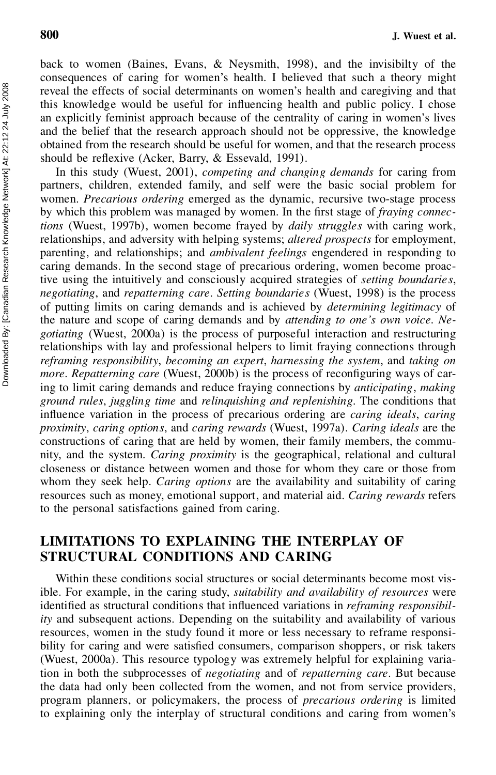back to women (Baines, Evans, & Neysmith, 1998), and the invisibilty of the consequences of caring for women's health. I believed that such a theory might reveal the effects of social determinants on women's health and caregiving and that this knowledge would be useful for influencing health and public policy. I chose an explicitly feminist approach because of the centrality of caring in women's lives and the belief that the research approach should not be oppressive, the knowledge obtained from the research should be useful for women, and that the research process should be reflexive (Acker, Barry, & Essevald, 1991).

In this study (Wuest, 2001), *competing and changing demands* for caring from partners, children, extended family, and self were the basic social problem for women. *Precarious ordering* emerged as the dynamic, recursive two-stage process by which this problem was managed by women. In the first stage of *fraying connections* (Wuest, 1997b), women become frayed by *daily struggles* with caring work, relationships, and adversity with helping systems; *altered prospects* for employment, parenting, and relationships; and *ambivalent feelings* engendered in responding to caring demands. In the second stage of precarious ordering, women become proactive using the intuitively and consciously acquired strategies of *setting boundaries*, *negotiating*, and *repatterning care*. *Setting boundaries* (Wuest, 1998) is the process of putting limits on caring demands and is achieved by *determining legitimacy* of the nature and scope of caring demands and by *attending to one's own voice*. *Negotiating* (Wuest, 2000a) is the process of purposeful interaction and restructuring relationships with lay and professional helpers to limit fraying connections through *reframing responsibility*, *becoming an expert*, *harnessing the system*, and *taking on more. Repatterning care* (Wuest, 2000b) is the process of reconfiguring ways of caring to limit caring demands and reduce fraying connections by *anticipating*, *making ground rules*, *juggling time* and *relinquishing and replenishing*. The conditions that influence variation in the process of precarious ordering are *caring ideals*, *caring proximity*, *caring options*, and *caring rewards* (Wuest, 1997a). *Caring ideals* are the constructions of caring that are held by women, their family members, the commu nity, and the system. *Caring proximity* is the geographical, relational and cultural closeness or distance between women and those for whom they care or those from whom they seek help. *Caring options* are the availability and suitability of caring resources such as money, emotional support, and material aid. *Caring rewards* refers to the personal satisfactions gained from caring.

## **LIMITATIONS TO EXPLAINING THE INTERPLAY OF STRUCTURAL CONDITIONS AND CARING**

Within these conditions social structures or social determinants become most visible. For example, in the caring study, *suitability and availability of resources* were identified as structural conditions that influenced variations in *reframing responsibility* and subsequent actions. Depending on the suitability and availability of various resources, women in the study found it more or less necessary to reframe responsi bility for caring and were satisfied consumers, comparison shoppers, or risk takers (Wuest, 2000a). This resource typology was extremely helpful for explaining variation in both the subprocesses of *negotiating* and of *repatterning care*. But because the data had only been collected from the women, and not from service providers, program planners, or policymakers, the process of *precarious ordering* is limited to explaining only the interplay of structural conditions and caring from women's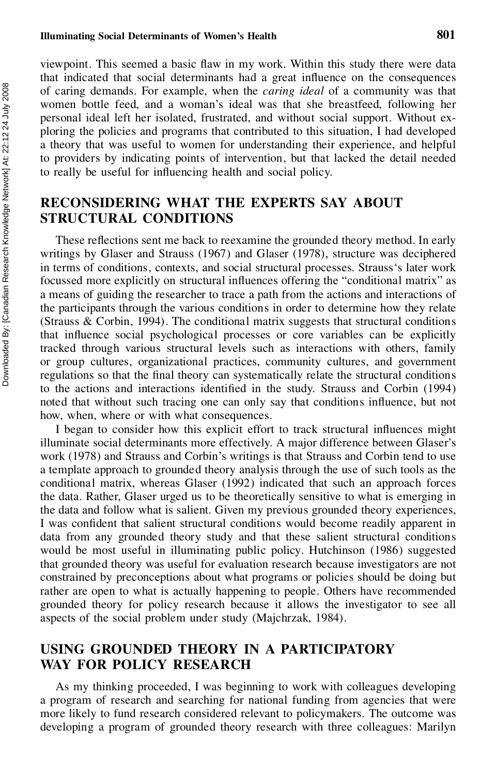### **Illuminating Social Determinants of Women's Health 801**

viewpoint. This seemed a basic flaw in my work. Within this study there were data that indicated that social determinants had a great influence on the consequences of caring demands. For example, when the *caring ideal* of a community was that women bottle feed, and a woman's ideal was that she breastfeed, following her personal ideal left her isolated, frustrated, and without social support. Without ex ploring the policies and programs that contributed to this situation, I had developed a theory that was useful to women for understanding their experience, and helpful to providers by indicating points of intervention, but that lacked the detail needed to really be useful for influencing health and social policy.

## **RECONSIDERING WHAT THE EXPERTS SAY ABOUT STRUCTURAL CONDITIONS**

These reflections sent me back to reexamine the grounded theory method. In early writings by Glaser and Strauss (1967) and Glaser (1978), structure was deciphered in terms of conditions, contexts, and social structural processes. Strauss's later work focussed more explicitly on structural influences offering the "conditional matrix" as a means of guiding the researcher to trace a path from the actions and interactions of the participants through the various conditions in order to determine how they relate (Strauss & Corbin, 1994). The conditional matrix suggests that structural conditions that influence social psychological processes or core variables can be explicitly tracked through various structural levels such as interactions with others, family or group cultures, organizational practices, community cultures, and government regulations so that the final theory can systematically relate the structural conditions to the actions and interactions identified in the study. Strauss and Corbin (1994) noted that without such tracing one can only say that conditions influence, but not how, when, where or with what consequences.

I began to consider how this explicit effort to track structural influences might illuminate social determinants more effectively. A major difference between Glaser's work (1978) and Strauss and Corbin's writings is that Strauss and Corbin tend to use a template approach to grounded theory analysis through the use of such tools as the conditional matrix, whereas Glaser (1992) indicated that such an approach forces the data. Rather, Glaser urged us to be theoretically sensitive to what is emerging in the data and follow what is salient. Given my previous grounded theory experiences, I was confident that salient structural conditions would become readily apparent in data from any grounded theory study and that these salient structural conditions would be most useful in illuminating public policy. Hutchinson (1986) suggested that grounded theory was useful for evaluation research because investigators are not constrained by preconceptions about what programs or policies should be doing but rather are open to what is actually happening to people. Others have recommended grounded theory for policy research because it allows the investigator to see all aspects of the social problem under study (Majchrzak, 1984).

## **USING GROUNDED THEORY IN A PARTICIPATORY WAY FOR POLICY RESEARCH**

As my thinking proceeded, I was beginning to work with colleagues developing a program of research and searching for national funding from agencies that were more likely to fund research considered relevant to policymakers. The outcome was developing a program of grounded theory research with three colleagues: Marilyn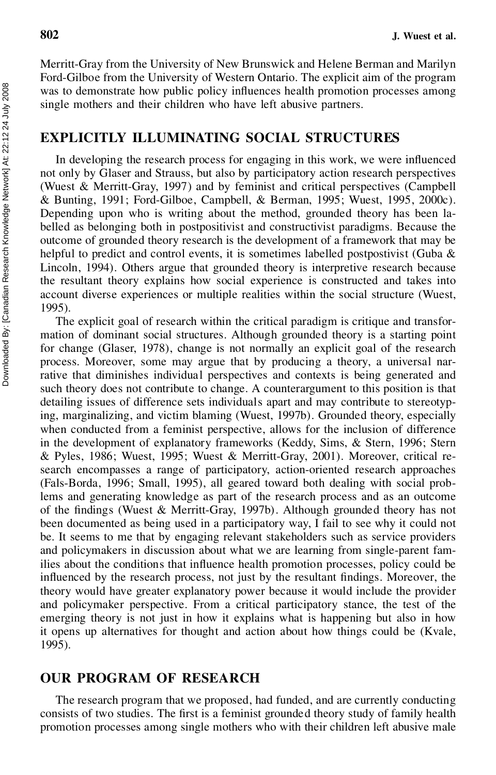Merritt-Gray from the University of New Brunswick and Helene Berman and Marilyn Ford-Gilboe from the University of Western Ontario. The explicit aim of the program was to demonstrate how public policy influences health promotion processes among single mothers and their children who have left abusive partners.

### **EXPLICITLY ILLUMINATING SOCIAL STRUCTURES**

In developing the research process for engaging in this work, we were influenced not only by Glaser and Strauss, but also by participatory action research perspectives (Wuest & Merritt-Gray, 1997) and by feminist and critical perspectives (Campbell & Bunting, 1991; Ford-Gilboe, Campbell, & Berman, 1995; Wuest, 1995, 2000c). Depending upon who is writing about the method, grounded theory has been la belled as belonging both in postpositivist and constructivist paradigms. Because the outcome of grounded theory research is the development of a framework that may be helpful to predict and control events, it is sometimes labelled postpostivist (Guba & Lincoln, 1994). Others argue that grounded theory is interpretive research because the resultant theory explains how social experience is constructed and takes into account diverse experiences or multiple realities within the social structure (Wuest, 1995).

The explicit goal of research within the critical paradigm is critique and transfor mation of dominant social structures. Although grounded theory is a starting point for change (Glaser, 1978), change is not normally an explicit goal of the research process. Moreover, some may argue that by producing a theory, a universal narrative that diminishes individual perspectives and contexts is being generated and such theory does not contribute to change. A counterargument to this position is that detailing issues of difference sets individuals apart and may contribute to stereotyping, marginalizing, and victim blaming (Wuest, 1997b). Grounded theory, especially when conducted from a feminist perspective, allows for the inclusion of difference in the development of explanatory frameworks (Keddy, Sims, & Stern, 1996; Stern & Pyles, 1986; Wuest, 1995; Wuest & Merritt-Gray, 2001). Moreover, critical re search encompasses a range of participatory, action-oriented research approaches (Fals-Borda, 1996; Small, 1995), all geared toward both dealing with social problems and generating knowledge as part of the research process and as an outcome of the findings (Wuest & Merritt-Gray, 1997b). Although grounded theory has not been documented as being used in a participatory way, I fail to see why it could not be. It seems to me that by engaging relevant stakeholders such as service providers and policymakers in discussion about what we are learning from single-parent families about the conditions that influence health promotion processes, policy could be in fluenced by the research process, not just by the resultant findings. Moreover, the theory would have greater explanatory power because it would include the provider and policymaker perspective. From a critical participatory stance, the test of the emerging theory is not just in how it explains what is happening but also in how it opens up alternatives for thought and action about how things could be (Kvale, 1995).

## **OUR PROGRAM OF RESEARCH**

The research program that we proposed, had funded, and are currently conducting consists of two studies. The first is a feminist grounded theory study of family health promotion processes among single mothers who with their children left abusive male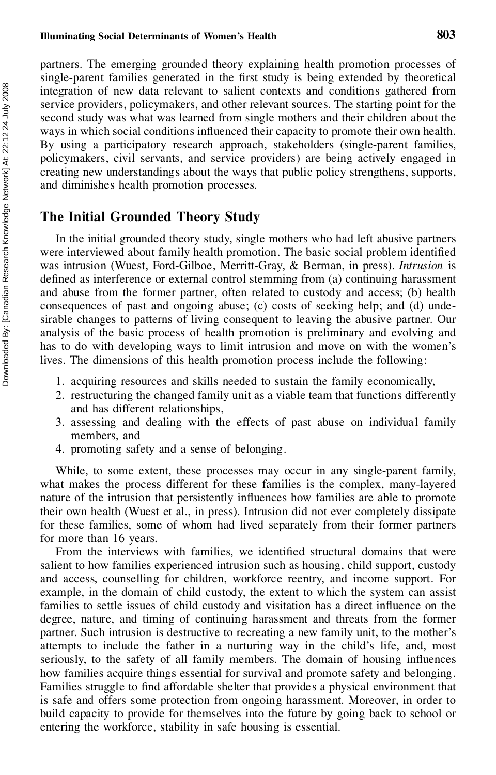partners. The emerging grounded theory explaining health promotion processes of single-parent families generated in the first study is being extended by theoretical integration of new data relevant to salient contexts and conditions gathered from service providers, policymakers, and other relevant sources. The starting point for the second study was what was learned from single mothers and their children about the ways in which social conditions influenced their capacity to promote their own health. By using a participatory research approach, stakeholders (single-parent families, policymakers, civil servants, and service providers) are being actively engaged in creating new understandings about the ways that public policy strengthens, supports, and diminishes health promotion processes.

### **The Initial Grounded Theory Study**

In the initial grounded theory study, single mothers who had left abusive partners were interviewed about family health promotion. The basic social problem identified was intrusion (Wuest, Ford-Gilboe, Merritt-Gray, & Berman, in press). *Intrusion* is defined as interference or external control stemming from (a) continuing harassment and abuse from the former partner, often related to custody and access; (b) health consequences of past and ongoing abuse; (c) costs of seeking help; and (d) unde sirable changes to patterns of living consequent to leaving the abusive partner. Our analysis of the basic process of health promotion is preliminary and evolving and has to do with developing ways to limit intrusion and move on with the women's lives. The dimensions of this health promotion process include the following:

- 1. acquiring resources and skills needed to sustain the family economically,
- 2. restructuring the changed family unit as a viable team that functions differently and has different relationships,
- 3. assessing and dealing with the effects of past abuse on individual family members, and
- 4. promoting safety and a sense of belonging.

While, to some extent, these processes may occur in any single-parent family, what makes the process different for these families is the complex, many-layered nature of the intrusion that persistently influences how families are able to promote their own health (Wuest et al., in press). Intrusion did not ever completely dissipate for these families, some of whom had lived separately from their former partners for more than 16 years.

From the interviews with families, we identified structural domains that were salient to how families experienced intrusion such as housing, child support, custody and access, counselling for children, workforce reentry, and income support. For example, in the domain of child custody, the extent to which the system can assist families to settle issues of child custody and visitation has a direct influence on the degree, nature, and timing of continuing harassment and threats from the former partner. Such intrusion is destructive to recreating a new family unit, to the mother's attempts to include the father in a nurturing way in the child's life, and, most seriously, to the safety of all family members. The domain of housing influences how families acquire things essential for survival and promote safety and belonging. Families struggle to find affordable shelter that provides a physical environment that is safe and offers some protection from ongoing harassment. Moreover, in order to build capacity to provide for themselves into the future by going back to school or entering the workforce, stability in safe housing is essential.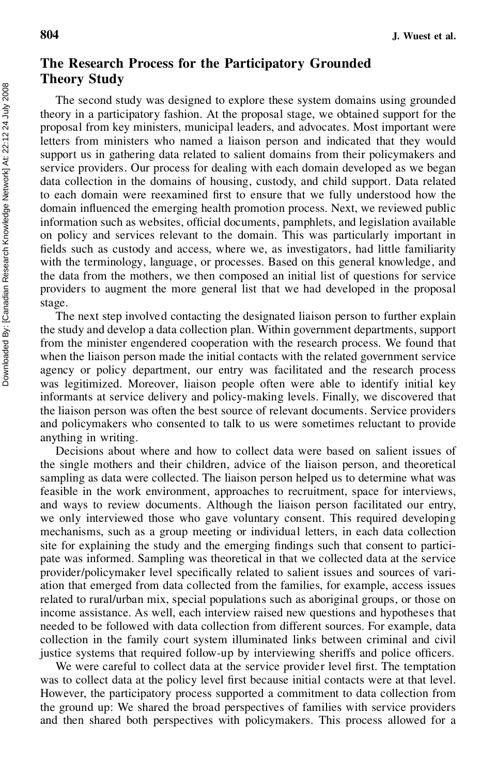## **The Research Process for the Participatory Grounded Theory Study**

The second study was designed to explore these system domains using grounded theory in a participatory fashion. At the proposal stage, we obtained support for the proposal from key ministers, municipal leaders, and advocates. Most important were letters from ministers who named a liaison person and indicated that they would support us in gathering data related to salient domains from their policymakers and service providers. Our process for dealing with each domain developed as we began data collection in the domains of housing, custody, and child support. Data related to each domain were reexamined first to ensure that we fully understood how the domain influenced the emerging health promotion process. Next, we reviewed public information such as websites, official documents, pamphlets, and legislation available on policy and services relevant to the domain. This was particularly important in fields such as custody and access, where we, as investigators, had little familiarity with the terminology, language, or processes. Based on this general knowledge, and the data from the mothers, we then composed an initial list of questions for service providers to augment the more general list that we had developed in the proposal stage.

The next step involved contacting the designated liaison person to further explain the study and develop a data collection plan. Within government departments, support from the minister engendered cooperation with the research process. We found that when the liaison person made the initial contacts with the related government service agency or policy department, our entry was facilitated and the research process was legitimized. Moreover, liaison people often were able to identify initial key informants at service delivery and policy-making levels. Finally, we discovered that the liaison person was often the best source of relevant documents. Service providers and policymakers who consented to talk to us were sometimes reluctant to provide anything in writing.

Decisions about where and how to collect data were based on salient issues of the single mothers and their children, advice of the liaison person, and theoretical sampling as data were collected. The liaison person helped us to determine what was feasible in the work environment, approaches to recruitment, space for interviews, and ways to review documents. Although the liaison person facilitated our entry, we only interviewed those who gave voluntary consent. This required developing mechanisms, such as a group meeting or individual letters, in each data collection site for explaining the study and the emerging findings such that consent to participate was informed. Sampling was theoretical in that we collected data at the service provider/policymaker level specifically related to salient issues and sources of variation that emerged from data collected from the families, for example, access issues related to rural/urban mix, special populations such as aboriginal groups, or those on income assistance. As well, each interview raised new questions and hypotheses that needed to be followed with data collection from different sources. For example, data collection in the family court system illuminated links between criminal and civil justice systems that required follow-up by interviewing sheriffs and police officers.

We were careful to collect data at the service provider level first. The temptation was to collect data at the policy level first because initial contacts were at that level. However, the participatory process supported a commitment to data collection from the ground up: We shared the broad perspectives of families with service providers and then shared both perspectives with policymakers. This process allowed for a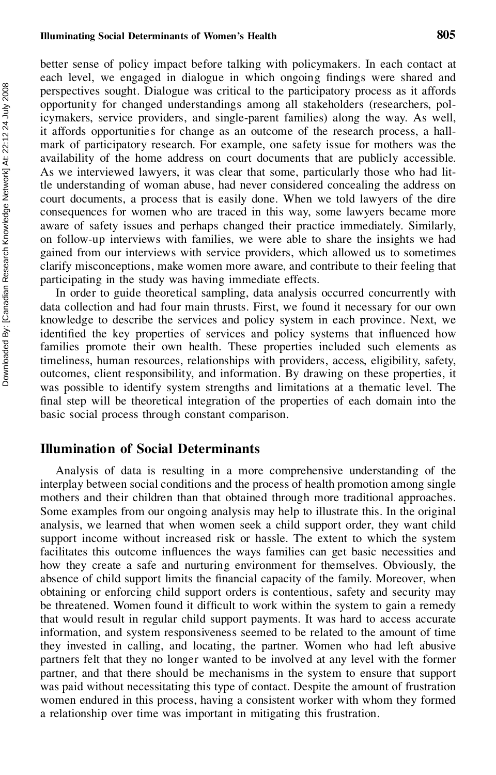#### **Illuminating Social Determinants of Women's Health 805**

better sense of policy impact before talking with policymakers. In each contact at each level, we engaged in dialogue in which ongoing findings were shared and perspectives sought. Dialogue was critical to the participatory process as it affords opportunity for changed understandings among all stakeholders (researchers, policymakers, service providers, and single-parent families) along the way. As well, it affords opportunitie s for change as an outcome of the research process, a hall mark of participatory research. For example, one safety issue for mothers was the availability of the home address on court documents that are publicly accessible. As we interviewed lawyers, it was clear that some, particularly those who had little understanding of woman abuse, had never considered concealing the address on court documents, a process that is easily done. When we told lawyers of the dire consequences for women who are traced in this way, some lawyers became more aware of safety issues and perhaps changed their practice immediately. Similarly, on follow-up interviews with families, we were able to share the insights we had gained from our interviews with service providers, which allowed us to sometimes clarify misconceptions, make women more aware, and contribute to their feeling that participating in the study was having immediate effects.

In order to guide theoretical sampling, data analysis occurred concurrently with data collection and had four main thrusts. First, we found it necessary for our own knowledge to describe the services and policy system in each province. Next, we identified the key properties of services and policy systems that influenced how families promote their own health. These properties included such elements as timeliness, human resources, relationships with providers, access, eligibility, safety, outcomes, client responsibility, and information. By drawing on these properties, it was possible to identify system strengths and limitations at a thematic level. The final step will be theoretical integration of the properties of each domain into the basic social process through constant comparison.

#### **Illumination of Social Determinants**

Analysis of data is resulting in a more comprehensive understanding of the interplay between social conditions and the process of health promotion among single mothers and their children than that obtained through more traditional approaches. Some examples from our ongoing analysis may help to illustrate this. In the original analysis, we learned that when women seek a child support order, they want child support income without increased risk or hassle. The extent to which the system facilitates this outcome influences the ways families can get basic necessities and how they create a safe and nurturing environment for themselves. Obviously, the absence of child support limits the financial capacity of the family. Moreover, when obtaining or enforcing child support orders is contentious, safety and security may be threatened. Women found it difficult to work within the system to gain a remedy that would result in regular child support payments. It was hard to access accurate information, and system responsiveness seemed to be related to the amount of time they invested in calling, and locating, the partner. Women who had left abusive partners felt that they no longer wanted to be involved at any level with the former partner, and that there should be mechanisms in the system to ensure that support was paid without necessitating this type of contact. Despite the amount of frustration women endured in this process, having a consistent worker with whom they formed a relationship over time was important in mitigating this frustration.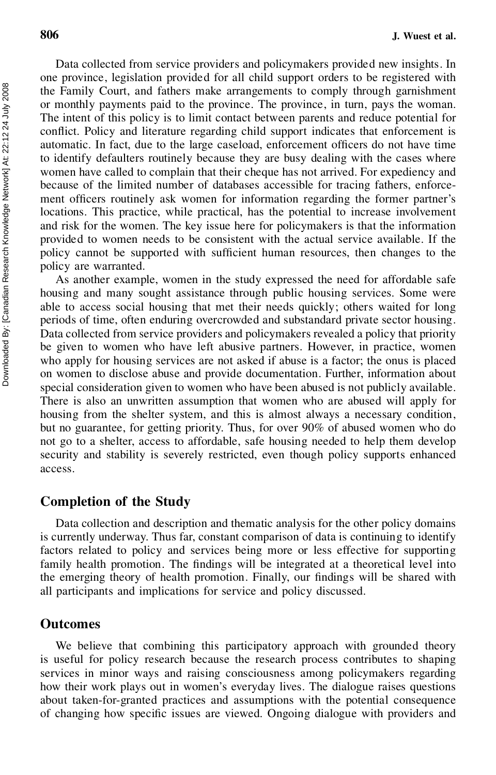Data collected from service providers and policymakers provided new insights. In one province, legislation provided for all child support orders to be registered with the Family Court, and fathers make arrangements to comply through garnishment or monthly payments paid to the province. The province, in turn, pays the woman. The intent of this policy is to limit contact between parents and reduce potential for conflict. Policy and literature regarding child support indicates that enforcement is automatic. In fact, due to the large caseload, enforcement officers do not have time to identify defaulters routinely because they are busy dealing with the cases where women have called to complain that their cheque has not arrived. For expediency and because of the limited number of databases accessible for tracing fathers, enforce ment officers routinely ask women for information regarding the former partner's locations. This practice, while practical, has the potential to increase involvement and risk for the women. The key issue here for policymakers is that the information provided to women needs to be consistent with the actual service available. If the policy cannot be supported with sufficient human resources, then changes to the policy are warranted.

As another example, women in the study expressed the need for affordable safe housing and many sought assistance through public housing services. Some were able to access social housing that met their needs quickly; others waited for long periods of time, often enduring overcrowded and substandard private sector housing. Data collected from service providers and policymakers revealed a policy that priority be given to women who have left abusive partners. However, in practice, women who apply for housing services are not asked if abuse is a factor; the onus is placed on women to disclose abuse and provide documentation. Further, information about special consideration given to women who have been abused is not publicly available. There is also an unwritten assumption that women who are abused will apply for housing from the shelter system, and this is almost always a necessary condition, but no guarantee, for getting priority. Thus, for over 90% of abused women who do not go to a shelter, access to affordable, safe housing needed to help them develop security and stability is severely restricted, even though policy supports enhanced access.

## **Completion of the Study**

Data collection and description and thematic analysis for the other policy domains is currently underway. Thus far, constant comparison of data is continuing to identify factors related to policy and services being more or less effective for supporting family health promotion. The findings will be integrated at a theoretical level into the emerging theory of health promotion. Finally, our findings will be shared with all participants and implications for service and policy discussed.

### **Outcomes**

We believe that combining this participatory approach with grounded theory is useful for policy research because the research process contributes to shaping services in minor ways and raising consciousness among policymakers regarding how their work plays out in women's everyday lives. The dialogue raises questions about taken-for-granted practices and assumptions with the potential consequence of changing how specific issues are viewed. Ongoing dialogue with providers and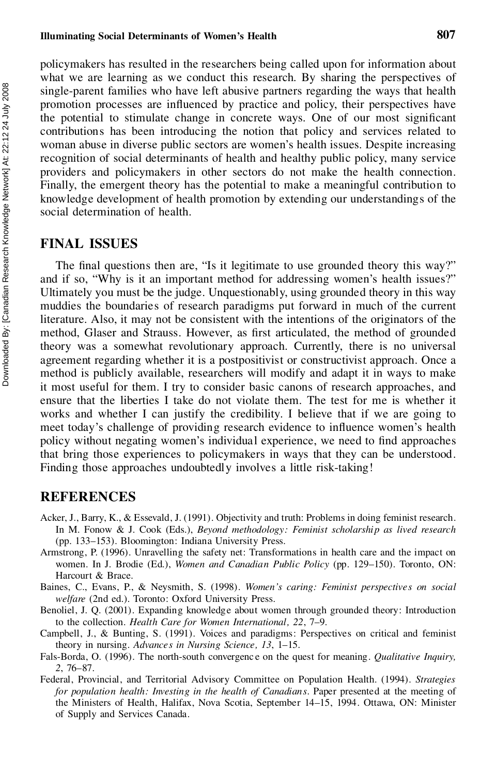policymakers has resulted in the researchers being called upon for information about what we are learning as we conduct this research. By sharing the perspectives of single-parent families who have left abusive partners regarding the ways that health promotion processes are influenced by practice and policy, their perspectives have the potential to stimulate change in concrete ways. One of our most significant contributions has been introducing the notion that policy and services related to woman abuse in diverse public sectors are women's health issues. Despite increasing recognition of social determinants of health and healthy public policy, many service providers and policymakers in other sectors do not make the health connection. Finally, the emergent theory has the potential to make a meaningful contribution to knowledge development of health promotion by extending our understandings of the social determination of health.

## **FINAL ISSUES**

The final questions then are, "Is it legitimate to use grounded theory this way?" and if so, "Why is it an important method for addressing women's health issues?" Ultimately you must be the judge. Unquestionably, using grounded theory in this way muddies the boundaries of research paradigms put forward in much of the current literature. Also, it may not be consistent with the intentions of the originators of the method, Glaser and Strauss. However, as first articulated, the method of grounded theory was a somewhat revolutionary approach. Currently, there is no universal agreement regarding whether it is a postpositivist or constructivist approach. Once a method is publicly available, researchers will modify and adapt it in ways to make it most useful for them. I try to consider basic canons of research approaches, and ensure that the liberties I take do not violate them. The test for me is whether it works and whether I can justify the credibility. I believe that if we are going to meet today's challenge of providing research evidence to influence women's health policy without negating women's individual experience, we need to find approaches that bring those experiences to policymakers in ways that they can be understood. Finding those approaches undoubtedly involves a little risk-taking!

### **REFERENCES**

- Acker, J., Barry, K., & Essevald, J. (1991). Objectivity and truth: Problems in doing feminist research. In M. Fonow & J. Cook (Eds.), *Beyond methodology: Feminist scholarship as lived research* (pp. 133–153). Bloomington: Indiana University Press.
- Armstrong, P. (1996). Unravelling the safety net: Transformations in health care and the impact on women. In J. Brodie (Ed.), *Women and Canadian Public Policy* (pp. 129–150). Toronto, ON: Harcourt & Brace.
- Baines, C., Evans, P., & Neysmith, S. (1998). *Women's caring: Feminist perspectives on social welfare* (2nd ed.). Toronto: Oxford University Press.
- Benoliel, J. Q. (2001). Expanding knowledge about women through grounded theory: Introduction to the collection. *Health Care for Women International, 22*, 7–9.
- Campbell, J., & Bunting, S. (1991). Voices and paradigms: Perspectives on critical and feminist theory in nursing. *Advances in Nursing Science, 13*, 1–15.
- Fals-Borda, O. (1996). The north-south convergenc e on the quest for meaning. *Qualitative Inquiry, 2*, 76–87.
- Federal, Provincial, and Territorial Advisory Committee on Population Health. (1994). *Strategies for population health: Investing in the health of Canadians*. Paper presented at the meeting of the Ministers of Health, Halifax, Nova Scotia, September 14–15, 1994. Ottawa, ON: Minister of Supply and Services Canada.